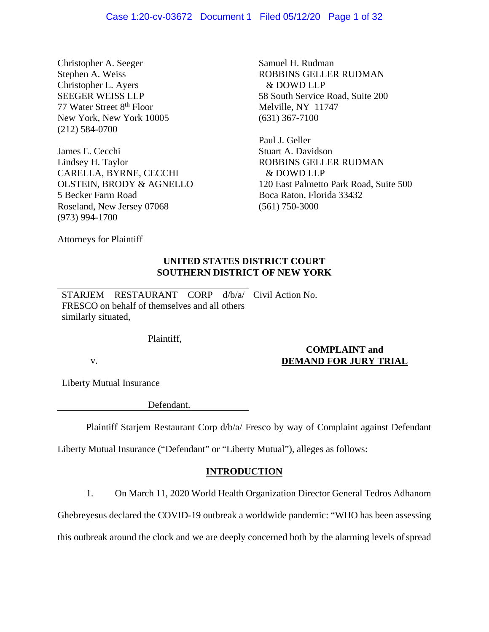Christopher A. Seeger Stephen A. Weiss Christopher L. Ayers SEEGER WEISS LLP 77 Water Street 8<sup>th</sup> Floor New York, New York 10005 (212) 584-0700

James E. Cecchi Lindsey H. Taylor CARELLA, BYRNE, CECCHI OLSTEIN, BRODY & AGNELLO 5 Becker Farm Road Roseland, New Jersey 07068 (973) 994-1700

Samuel H. Rudman ROBBINS GELLER RUDMAN & DOWD LLP 58 South Service Road, Suite 200 Melville, NY 11747 (631) 367-7100

Paul J. Geller Stuart A. Davidson ROBBINS GELLER RUDMAN & DOWD LLP 120 East Palmetto Park Road, Suite 500 Boca Raton, Florida 33432 (561) 750-3000

Attorneys for Plaintiff

## **UNITED STATES DISTRICT COURT SOUTHERN DISTRICT OF NEW YORK**

STARJEM RESTAURANT CORP d/b/a/ FRESCO on behalf of themselves and all others similarly situated, Civil Action No.

Plaintiff,

v.

**COMPLAINT and DEMAND FOR JURY TRIAL**

Liberty Mutual Insurance

Defendant.

Plaintiff Starjem Restaurant Corp d/b/a/ Fresco by way of Complaint against Defendant

Liberty Mutual Insurance ("Defendant" or "Liberty Mutual"), alleges as follows:

## **INTRODUCTION**

1. On March 11, 2020 World Health Organization Director General Tedros Adhanom

Ghebreyesus declared the COVID-19 outbreak a worldwide pandemic: "WHO has been assessing

this outbreak around the clock and we are deeply concerned both by the alarming levels of spread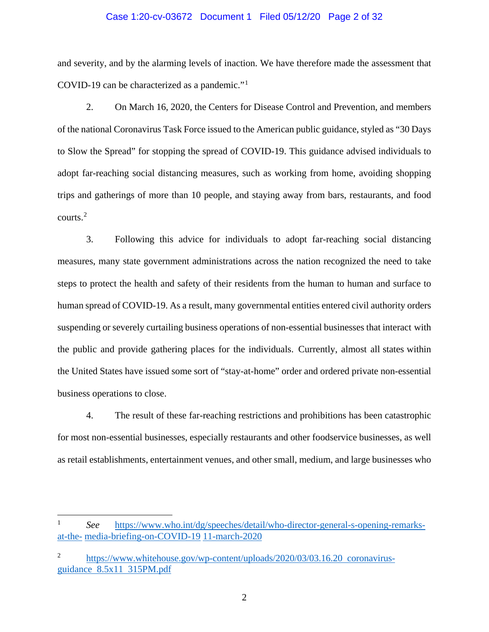#### Case 1:20-cv-03672 Document 1 Filed 05/12/20 Page 2 of 32

and severity, and by the alarming levels of inaction. We have therefore made the assessment that COVID-19 can be characterized as a pandemic."[1](#page-1-0)

2. On March 16, 2020, the Centers for Disease Control and Prevention, and members of the national Coronavirus Task Force issued to the American public guidance, styled as "30 Days to Slow the Spread" for stopping the spread of COVID-19. This guidance advised individuals to adopt far-reaching social distancing measures, such as working from home, avoiding shopping trips and gatherings of more than 10 people, and staying away from bars, restaurants, and food courts. $2$ 

3. Following this advice for individuals to adopt far-reaching social distancing measures, many state government administrations across the nation recognized the need to take steps to protect the health and safety of their residents from the human to human and surface to human spread of COVID-19. As a result, many governmental entities entered civil authority orders suspending or severely curtailing business operations of non-essential businesses that interact with the public and provide gathering places for the individuals. Currently, almost all states within the United States have issued some sort of "stay-at-home" order and ordered private non-essential business operations to close.

4. The result of these far-reaching restrictions and prohibitions has been catastrophic for most non-essential businesses, especially restaurants and other foodservice businesses, as well as retail establishments, entertainment venues, and other small, medium, and large businesses who

 $\overline{a}$ 

<span id="page-1-0"></span><sup>1</sup> *See* [https://www.who.int/dg/speeches/detail/who-director-general-s-opening-remarks](about:blank)[at-the-](about:blank) [media-briefing-on-COVID-19 11-march-2020](about:blank)

<span id="page-1-1"></span><sup>2</sup> [https://www.whitehouse.gov/wp-content/uploads/2020/03/03.16.20 coronavirus](about:blank)[guidance 8.5x11 315PM.pdf](about:blank)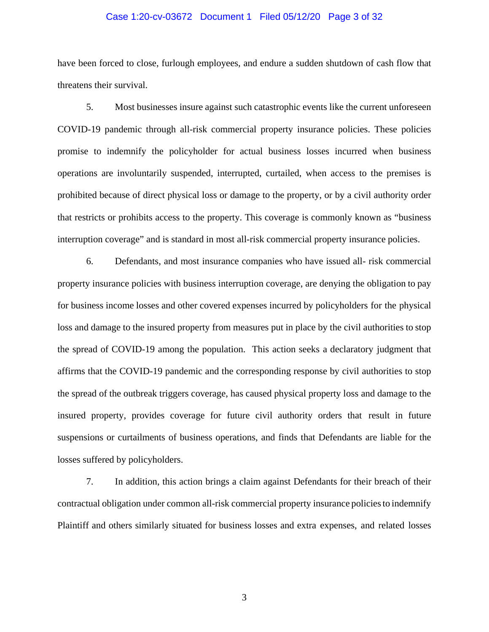#### Case 1:20-cv-03672 Document 1 Filed 05/12/20 Page 3 of 32

have been forced to close, furlough employees, and endure a sudden shutdown of cash flow that threatens their survival.

5. Most businesses insure against such catastrophic events like the current unforeseen COVID-19 pandemic through all-risk commercial property insurance policies. These policies promise to indemnify the policyholder for actual business losses incurred when business operations are involuntarily suspended, interrupted, curtailed, when access to the premises is prohibited because of direct physical loss or damage to the property, or by a civil authority order that restricts or prohibits access to the property. This coverage is commonly known as "business interruption coverage" and is standard in most all-risk commercial property insurance policies.

6. Defendants, and most insurance companies who have issued all- risk commercial property insurance policies with business interruption coverage, are denying the obligation to pay for business income losses and other covered expenses incurred by policyholders for the physical loss and damage to the insured property from measures put in place by the civil authorities to stop the spread of COVID-19 among the population. This action seeks a declaratory judgment that affirms that the COVID-19 pandemic and the corresponding response by civil authorities to stop the spread of the outbreak triggers coverage, has caused physical property loss and damage to the insured property, provides coverage for future civil authority orders that result in future suspensions or curtailments of business operations, and finds that Defendants are liable for the losses suffered by policyholders.

7. In addition, this action brings a claim against Defendants for their breach of their contractual obligation under common all-risk commercial property insurance policiesto indemnify Plaintiff and others similarly situated for business losses and extra expenses, and related losses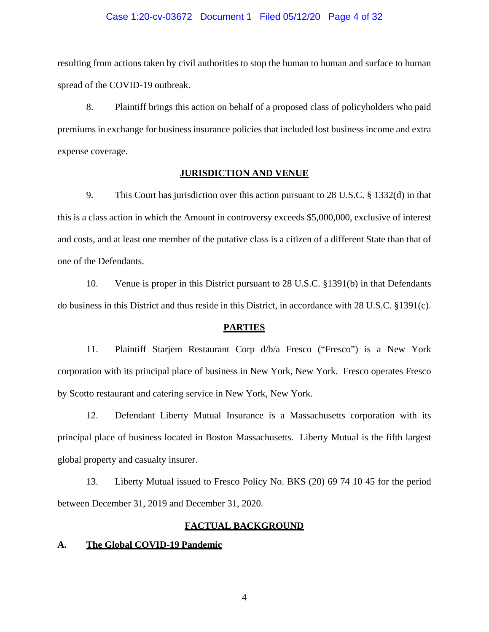#### Case 1:20-cv-03672 Document 1 Filed 05/12/20 Page 4 of 32

resulting from actions taken by civil authorities to stop the human to human and surface to human spread of the COVID-19 outbreak.

8. Plaintiff brings this action on behalf of a proposed class of policyholders who paid premiums in exchange for business insurance policies that included lost business income and extra expense coverage.

### **JURISDICTION AND VENUE**

9. This Court has jurisdiction over this action pursuant to 28 U.S.C. § 1332(d) in that this is a class action in which the Amount in controversy exceeds \$5,000,000, exclusive of interest and costs, and at least one member of the putative class is a citizen of a different State than that of one of the Defendants.

10. Venue is proper in this District pursuant to 28 U.S.C. §1391(b) in that Defendants do business in this District and thus reside in this District, in accordance with 28 U.S.C. §1391(c).

#### **PARTIES**

11. Plaintiff Starjem Restaurant Corp d/b/a Fresco ("Fresco") is a New York corporation with its principal place of business in New York, New York. Fresco operates Fresco by Scotto restaurant and catering service in New York, New York.

12. Defendant Liberty Mutual Insurance is a Massachusetts corporation with its principal place of business located in Boston Massachusetts. Liberty Mutual is the fifth largest global property and casualty insurer.

13. Liberty Mutual issued to Fresco Policy No. BKS (20) 69 74 10 45 for the period between December 31, 2019 and December 31, 2020.

### **FACTUAL BACKGROUND**

#### **A. The Global COVID-19 Pandemic**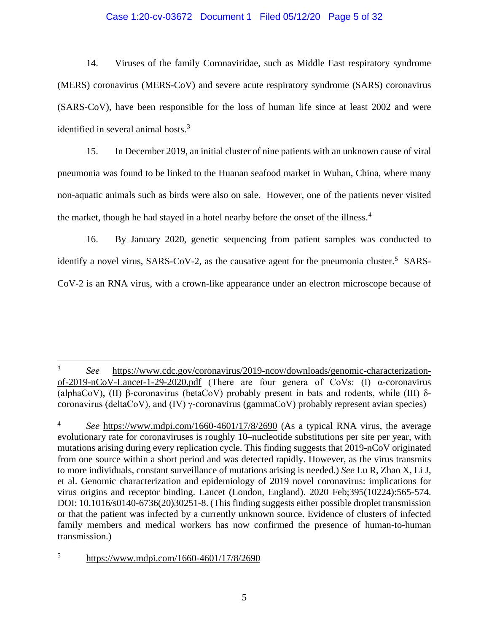#### Case 1:20-cv-03672 Document 1 Filed 05/12/20 Page 5 of 32

14. Viruses of the family Coronaviridae, such as Middle East respiratory syndrome (MERS) coronavirus (MERS-CoV) and severe acute respiratory syndrome (SARS) coronavirus (SARS-CoV), have been responsible for the loss of human life since at least 2002 and were identified in several animal hosts.<sup>[3](#page-4-0)</sup>

15. In December 2019, an initial cluster of nine patients with an unknown cause of viral pneumonia was found to be linked to the Huanan seafood market in Wuhan, China, where many non-aquatic animals such as birds were also on sale. However, one of the patients never visited the market, though he had stayed in a hotel nearby before the onset of the illness.[4](#page-4-1)

16. By January 2020, genetic sequencing from patient samples was conducted to identify a novel virus, SARS-CoV-2, as the causative agent for the pneumonia cluster.<sup>[5](#page-4-2)</sup> SARS-CoV-2 is an RNA virus, with a crown-like appearance under an electron microscope because of

<span id="page-4-2"></span><sup>5</sup> [https://www.mdpi.com/1660-4601/17/8/2690](about:blank)

<span id="page-4-0"></span> <sup>3</sup> *See* [https://www.cdc.gov/coronavirus/2019-ncov/downloads/genomic-characterization](about:blank)[of-2019-nCoV-Lancet-1-29-2020.pdf](about:blank) (There are four genera of CoVs: (I) α-coronavirus (alphaCoV), (II) β-coronavirus (betaCoV) probably present in bats and rodents, while (III) δcoronavirus (deltaCoV), and (IV) γ-coronavirus (gammaCoV) probably represent avian species)

<span id="page-4-1"></span><sup>4</sup> *See* [https://www.mdpi.com/1660-4601/17/8/2690](about:blank) (As a typical RNA virus, the average evolutionary rate for coronaviruses is roughly 10–nucleotide substitutions per site per year, with mutations arising during every replication cycle. This finding suggests that 2019-nCoV originated from one source within a short period and was detected rapidly. However, as the virus transmits to more individuals, constant surveillance of mutations arising is needed.) *See* Lu R, Zhao X, Li J, et al. Genomic characterization and epidemiology of 2019 novel coronavirus: implications for virus origins and receptor binding. Lancet (London, England). 2020 Feb;395(10224):565-574. DOI: 10.1016/s0140-6736(20)30251-8. (This finding suggests either possible droplet transmission or that the patient was infected by a currently unknown source. Evidence of clusters of infected family members and medical workers has now confirmed the presence of human-to-human transmission.)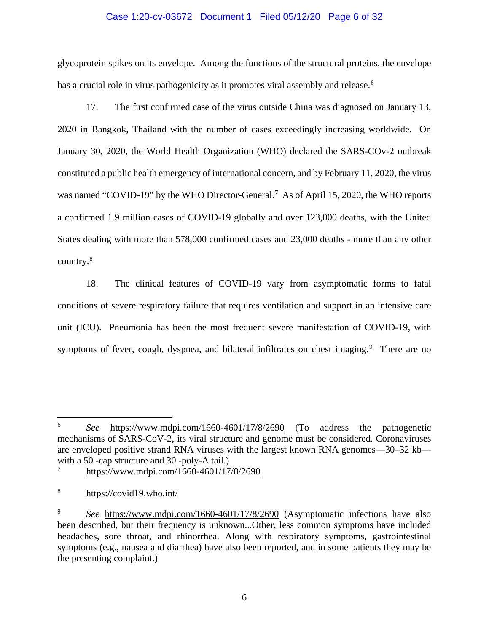#### Case 1:20-cv-03672 Document 1 Filed 05/12/20 Page 6 of 32

glycoprotein spikes on its envelope. Among the functions of the structural proteins, the envelope has a crucial role in virus pathogenicity as it promotes viral assembly and release.<sup>[6](#page-5-0)</sup>

17. The first confirmed case of the virus outside China was diagnosed on January 13, 2020 in Bangkok, Thailand with the number of cases exceedingly increasing worldwide. On January 30, 2020, the World Health Organization (WHO) declared the SARS-COv-2 outbreak constituted a public health emergency of international concern, and by February 11, 2020, the virus was named "COVID-19" by the WHO Director-General.<sup>[7](#page-5-1)</sup> As of April 15, 2020, the WHO reports a confirmed 1.9 million cases of COVID-19 globally and over 123,000 deaths, with the United States dealing with more than 578,000 confirmed cases and 23,000 deaths - more than any other country. $8$ 

18. The clinical features of COVID-19 vary from asymptomatic forms to fatal conditions of severe respiratory failure that requires ventilation and support in an intensive care unit (ICU). Pneumonia has been the most frequent severe manifestation of COVID-19, with symptoms of fever, cough, dyspnea, and bilateral infiltrates on chest imaging.<sup>[9](#page-5-3)</sup> There are no

<span id="page-5-0"></span> <sup>6</sup> *See* [https://www.mdpi.com/1660-4601/17/8/2690](about:blank) (To address the pathogenetic mechanisms of SARS-CoV-2, its viral structure and genome must be considered. Coronaviruses are enveloped positive strand RNA viruses with the largest known RNA genomes—30–32 kb with a 50 -cap structure and 30 -poly-A tail.) 7

[https://www.mdpi.com/1660-4601/17/8/2690](about:blank)

<span id="page-5-2"></span><span id="page-5-1"></span><sup>8</sup> [https://covid19.who.int/](about:blank)

<span id="page-5-3"></span><sup>9</sup> *See* [https://www.mdpi.com/1660-4601/17/8/2690](about:blank) (Asymptomatic infections have also been described, but their frequency is unknown...Other, less common symptoms have included headaches, sore throat, and rhinorrhea. Along with respiratory symptoms, gastrointestinal symptoms (e.g., nausea and diarrhea) have also been reported, and in some patients they may be the presenting complaint.)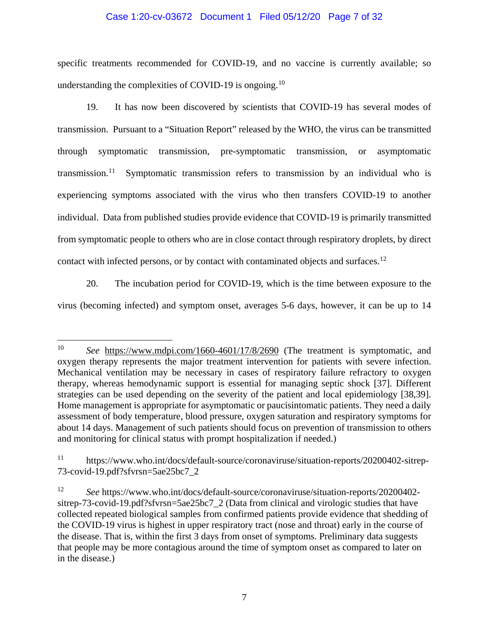### Case 1:20-cv-03672 Document 1 Filed 05/12/20 Page 7 of 32

specific treatments recommended for COVID-19, and no vaccine is currently available; so understanding the complexities of COVID-19 is ongoing.<sup>[10](#page-6-0)</sup>

19. It has now been discovered by scientists that COVID-19 has several modes of transmission. Pursuant to a "Situation Report" released by the WHO, the virus can be transmitted through symptomatic transmission, pre-symptomatic transmission, or asymptomatic transmission.<sup>[11](#page-6-1)</sup> Symptomatic transmission refers to transmission by an individual who is experiencing symptoms associated with the virus who then transfers COVID-19 to another individual. Data from published studies provide evidence that COVID-19 is primarily transmitted from symptomatic people to others who are in close contact through respiratory droplets, by direct contact with infected persons, or by contact with contaminated objects and surfaces.<sup>[12](#page-6-2)</sup>

20. The incubation period for COVID-19, which is the time between exposure to the virus (becoming infected) and symptom onset, averages 5-6 days, however, it can be up to 14

<span id="page-6-0"></span> <sup>10</sup> *See* [https://www.mdpi.com/1660-4601/17/8/2690](about:blank) (The treatment is symptomatic, and oxygen therapy represents the major treatment intervention for patients with severe infection. Mechanical ventilation may be necessary in cases of respiratory failure refractory to oxygen therapy, whereas hemodynamic support is essential for managing septic shock [37]. Different strategies can be used depending on the severity of the patient and local epidemiology [38,39]. Home management is appropriate for asymptomatic or paucisintomatic patients. They need a daily assessment of body temperature, blood pressure, oxygen saturation and respiratory symptoms for about 14 days. Management of such patients should focus on prevention of transmission to others and monitoring for clinical status with prompt hospitalization if needed.)

<span id="page-6-1"></span><sup>11</sup> [https://www.who.int/docs/default-source/coronaviruse/situation-reports/20200402-sitrep-](about:blank)[73-covid-19.pdf?sfvrsn=5ae25bc7\\_2](about:blank)

<span id="page-6-2"></span><sup>12</sup> *See* [https://www.who.int/docs/default-source/coronaviruse/situation-reports/20200402](about:blank) [sitrep-73-covid-19.pdf?sfvrsn=5ae25bc7\\_2](about:blank) (Data from clinical and virologic studies that have collected repeated biological samples from confirmed patients provide evidence that shedding of the COVID-19 virus is highest in upper respiratory tract (nose and throat) early in the course of the disease. That is, within the first 3 days from onset of symptoms. Preliminary data suggests that people may be more contagious around the time of symptom onset as compared to later on in the disease.)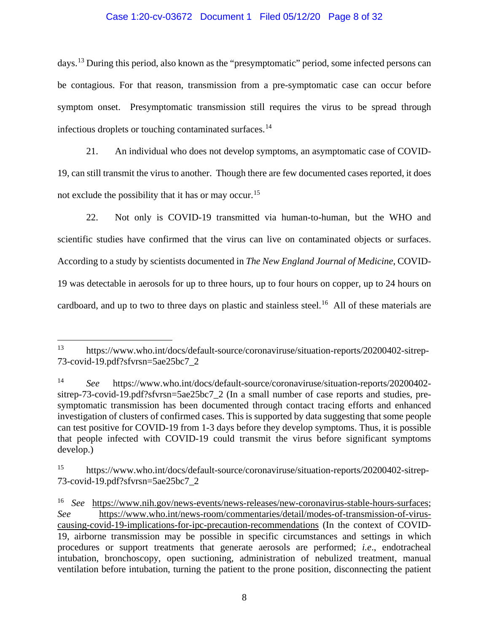### Case 1:20-cv-03672 Document 1 Filed 05/12/20 Page 8 of 32

days.[13](#page-7-0) During this period, also known as the "presymptomatic" period, some infected persons can be contagious. For that reason, transmission from a pre-symptomatic case can occur before symptom onset. Presymptomatic transmission still requires the virus to be spread through infectious droplets or touching contaminated surfaces.[14](#page-7-1)

21. An individual who does not develop symptoms, an asymptomatic case of COVID-19, can still transmit the virus to another. Though there are few documented cases reported, it does not exclude the possibility that it has or may occur.<sup>[15](#page-7-2)</sup>

22. Not only is COVID-19 transmitted via human-to-human, but the WHO and scientific studies have confirmed that the virus can live on contaminated objects or surfaces. According to a study by scientists documented in *The New England Journal of Medicine*, COVID-19 was detectable in aerosols for up to three hours, up to four hours on copper, up to 24 hours on cardboard, and up to two to three days on plastic and stainless steel.<sup>16</sup> All of these materials are

<span id="page-7-0"></span> <sup>13</sup> [https://www.who.int/docs/default-source/coronaviruse/situation-reports/20200402-sitrep-](about:blank)[73-covid-19.pdf?sfvrsn=5ae25bc7\\_2](about:blank)

<span id="page-7-1"></span><sup>14</sup> *See* [https://www.who.int/docs/default-source/coronaviruse/situation-reports/20200402](about:blank) [sitrep-73-covid-19.pdf?sfvrsn=5ae25bc7\\_2](about:blank) (In a small number of case reports and studies, presymptomatic transmission has been documented through contact tracing efforts and enhanced investigation of clusters of confirmed cases. This is supported by data suggesting that some people can test positive for COVID-19 from 1-3 days before they develop symptoms. Thus, it is possible that people infected with COVID-19 could transmit the virus before significant symptoms develop.)

<span id="page-7-2"></span><sup>15</sup> [https://www.who.int/docs/default-source/coronaviruse/situation-reports/20200402-sitrep-](about:blank)[73-covid-19.pdf?sfvrsn=5ae25bc7\\_2](about:blank)

<span id="page-7-3"></span><sup>16</sup> *See* [https://www.nih.gov/news-events/news-releases/new-coronavirus-stable-hours-surfaces;](about:blank) *See* [https://www.who.int/news-room/commentaries/detail/modes-of-transmission-of-virus](about:blank)[causing-covid-19-implications-for-ipc-precaution-recommendations](about:blank) (In the context of COVID-19, airborne transmission may be possible in specific circumstances and settings in which procedures or support treatments that generate aerosols are performed; *i.e*., endotracheal intubation, bronchoscopy, open suctioning, administration of nebulized treatment, manual ventilation before intubation, turning the patient to the prone position, disconnecting the patient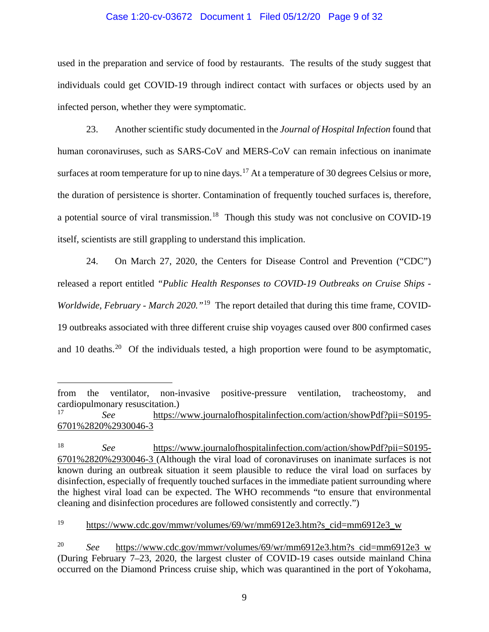#### Case 1:20-cv-03672 Document 1 Filed 05/12/20 Page 9 of 32

used in the preparation and service of food by restaurants. The results of the study suggest that individuals could get COVID-19 through indirect contact with surfaces or objects used by an infected person, whether they were symptomatic.

23. Another scientific study documented in the *Journal of Hospital Infection* found that human coronaviruses, such as SARS-CoV and MERS-CoV can remain infectious on inanimate surfaces at room temperature for up to nine days.<sup>[17](#page-8-0)</sup> At a temperature of 30 degrees Celsius or more, the duration of persistence is shorter. Contamination of frequently touched surfaces is, therefore, a potential source of viral transmission.<sup>18</sup> Though this study was not conclusive on COVID-19 itself, scientists are still grappling to understand this implication.

24. On March 27, 2020, the Centers for Disease Control and Prevention ("CDC") released a report entitled *"Public Health Responses to COVID-19 Outbreaks on Cruise Ships - Worldwide, February - March 2020."*[19](#page-8-2)The report detailed that during this time frame, COVID-19 outbreaks associated with three different cruise ship voyages caused over 800 confirmed cases and 10 deaths.<sup>[20](#page-8-3)</sup> Of the individuals tested, a high proportion were found to be asymptomatic,

 $\overline{a}$ 

from the ventilator, non-invasive positive-pressure ventilation, tracheostomy, and cardiopulmonary resuscitation.)

<span id="page-8-0"></span><sup>17</sup> *See* [https://www.journalofhospitalinfection.com/action/showPdf?pii=S0195-](about:blank) [6701%2820%2930046-3](about:blank)

<span id="page-8-1"></span><sup>18</sup> *See* [https://www.journalofhospitalinfection.com/action/showPdf?pii=S0195-](about:blank) [6701%2820%2930046-3](about:blank) (Although the viral load of coronaviruses on inanimate surfaces is not known during an outbreak situation it seem plausible to reduce the viral load on surfaces by disinfection, especially of frequently touched surfaces in the immediate patient surrounding where the highest viral load can be expected. The WHO recommends "to ensure that environmental cleaning and disinfection procedures are followed consistently and correctly.")

<span id="page-8-2"></span><sup>&</sup>lt;sup>19</sup> [https://www.cdc.gov/mmwr/volumes/69/wr/mm6912e3.htm?s\\_cid=mm6912e3\\_w](about:blank)

<span id="page-8-3"></span><sup>&</sup>lt;sup>20</sup> *See* [https://www.cdc.gov/mmwr/volumes/69/wr/mm6912e3.htm?s cid=mm6912e3 w](about:blank) (During February 7–23, 2020, the largest cluster of COVID-19 cases outside mainland China occurred on the Diamond Princess cruise ship, which was quarantined in the port of Yokohama,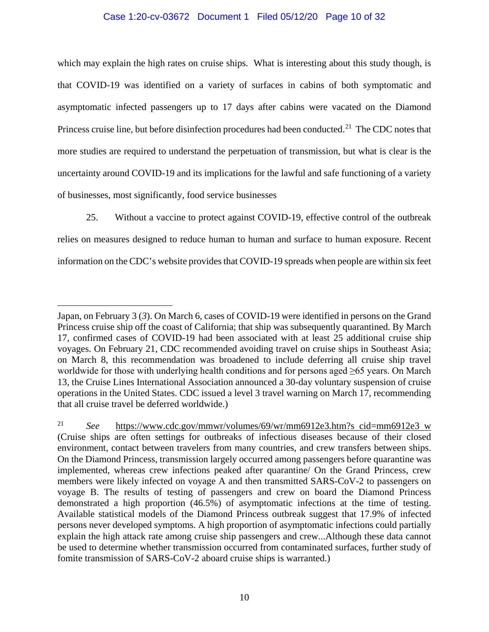### Case 1:20-cv-03672 Document 1 Filed 05/12/20 Page 10 of 32

which may explain the high rates on cruise ships. What is interesting about this study though, is that COVID-19 was identified on a variety of surfaces in cabins of both symptomatic and asymptomatic infected passengers up to 17 days after cabins were vacated on the Diamond Princess cruise line, but before disinfection procedures had been conducted.<sup>21</sup> The CDC notes that more studies are required to understand the perpetuation of transmission, but what is clear is the uncertainty around COVID-19 and its implications for the lawful and safe functioning of a variety of businesses, most significantly, food service businesses

25. Without a vaccine to protect against COVID-19, effective control of the outbreak relies on measures designed to reduce human to human and surface to human exposure. Recent information on the CDC's website provides that COVID-19 spreads when people are within six feet

 $\overline{a}$ 

Japan, on February 3 (*3*). On March 6, cases of COVID-19 were identified in persons on the Grand Princess cruise ship off the coast of California; that ship was subsequently quarantined. By March 17, confirmed cases of COVID-19 had been associated with at least 25 additional cruise ship voyages. On February 21, CDC recommended avoiding travel on cruise ships in Southeast Asia; on March 8, this recommendation was broadened to include deferring all cruise ship travel worldwide for those with underlying health conditions and for persons aged ≥65 years. On March 13, the Cruise Lines International Association announced a 30-day voluntary suspension of cruise operations in the United States. CDC issued a level 3 travel warning on March 17, recommending that all cruise travel be deferred worldwide.)

<span id="page-9-0"></span><sup>21</sup> *See* [https://www.cdc.gov/mmwr/volumes/69/wr/mm6912e3.htm?s cid=mm6912e3 w](about:blank) (Cruise ships are often settings for outbreaks of infectious diseases because of their closed environment, contact between travelers from many countries, and crew transfers between ships. On the Diamond Princess, transmission largely occurred among passengers before quarantine was implemented, whereas crew infections peaked after quarantine/ On the Grand Princess, crew members were likely infected on voyage A and then transmitted SARS-CoV-2 to passengers on voyage B. The results of testing of passengers and crew on board the Diamond Princess demonstrated a high proportion (46.5%) of asymptomatic infections at the time of testing. Available statistical models of the Diamond Princess outbreak suggest that 17.9% of infected persons never developed symptoms. A high proportion of asymptomatic infections could partially explain the high attack rate among cruise ship passengers and crew...Although these data cannot be used to determine whether transmission occurred from contaminated surfaces, further study of fomite transmission of SARS-CoV-2 aboard cruise ships is warranted.)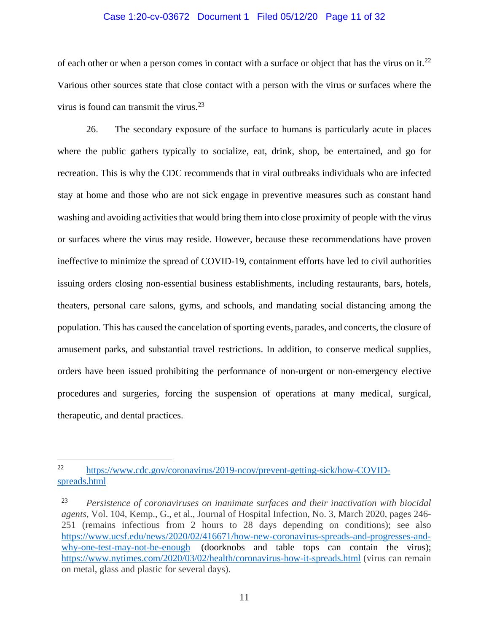#### Case 1:20-cv-03672 Document 1 Filed 05/12/20 Page 11 of 32

of each other or when a person comes in contact with a surface or object that has the virus on it.<sup>[22](#page-10-0)</sup> Various other sources state that close contact with a person with the virus or surfaces where the virus is found can transmit the virus.  $2^3$ 

26. The secondary exposure of the surface to humans is particularly acute in places where the public gathers typically to socialize, eat, drink, shop, be entertained, and go for recreation. This is why the CDC recommends that in viral outbreaks individuals who are infected stay at home and those who are not sick engage in preventive measures such as constant hand washing and avoiding activities that would bring them into close proximity of people with the virus or surfaces where the virus may reside. However, because these recommendations have proven ineffective to minimize the spread of COVID-19, containment efforts have led to civil authorities issuing orders closing non-essential business establishments, including restaurants, bars, hotels, theaters, personal care salons, gyms, and schools, and mandating social distancing among the population. This has caused the cancelation of sporting events, parades, and concerts, the closure of amusement parks, and substantial travel restrictions. In addition, to conserve medical supplies, orders have been issued prohibiting the performance of non-urgent or non-emergency elective procedures and surgeries, forcing the suspension of operations at many medical, surgical, therapeutic, and dental practices.

<span id="page-10-0"></span> <sup>22</sup> [https://www.cdc.gov/coronavirus/2019-ncov/prevent-getting-sick/how-COVID](about:blank)[spreads.html](about:blank)

<span id="page-10-1"></span><sup>23</sup> *Persistence of coronaviruses on inanimate surfaces and their inactivation with biocidal agents*, Vol. 104, Kemp., G., et al., Journal of Hospital Infection, No. 3, March 2020, pages 246- 251 (remains infectious from 2 hours to 28 days depending on conditions); see also [https://www.ucsf.edu/news/2020/02/416671/how-new-coronavirus-spreads-and-progresses-and](about:blank)[why-one-test-may-not-be-enough](about:blank) (doorknobs and table tops can contain the virus)[;](about:blank) [https://www.nytimes.com/2020/03/02/health/coronavirus-how-it-spreads.html](about:blank) (virus can remain on metal, glass and plastic for several days).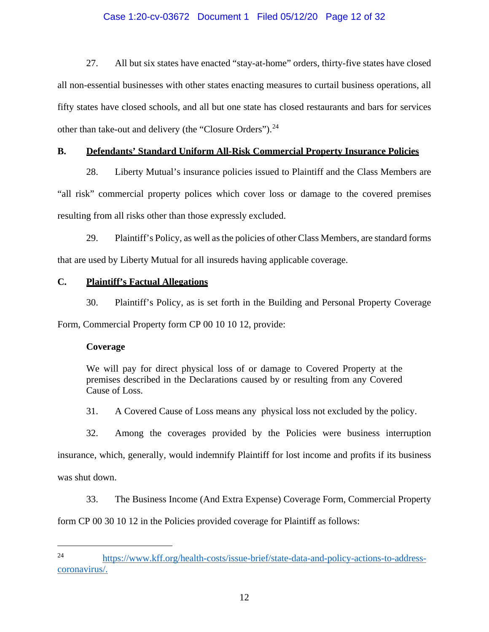## Case 1:20-cv-03672 Document 1 Filed 05/12/20 Page 12 of 32

27. All but six states have enacted "stay-at-home" orders, thirty-five states have closed all non-essential businesses with other states enacting measures to curtail business operations, all fifty states have closed schools, and all but one state has closed restaurants and bars for services other than take-out and delivery (the "Closure Orders").<sup>[24](#page-11-0)</sup>

## **B. Defendants' Standard Uniform All-Risk Commercial Property Insurance Policies**

28. Liberty Mutual's insurance policies issued to Plaintiff and the Class Members are "all risk" commercial property polices which cover loss or damage to the covered premises resulting from all risks other than those expressly excluded.

29. Plaintiff's Policy, as well as the policies of other Class Members, are standard forms that are used by Liberty Mutual for all insureds having applicable coverage.

## **C. Plaintiff's Factual Allegations**

30. Plaintiff's Policy, as is set forth in the Building and Personal Property Coverage Form, Commercial Property form CP 00 10 10 12, provide:

# **Coverage**

 $\overline{a}$ 

We will pay for direct physical loss of or damage to Covered Property at the premises described in the Declarations caused by or resulting from any Covered Cause of Loss.

31. A Covered Cause of Loss means any physical loss not excluded by the policy.

32. Among the coverages provided by the Policies were business interruption insurance, which, generally, would indemnify Plaintiff for lost income and profits if its business was shut down.

33. The Business Income (And Extra Expense) Coverage Form, Commercial Property form CP 00 30 10 12 in the Policies provided coverage for Plaintiff as follows:

<span id="page-11-0"></span><sup>24</sup> [https://www.kff.org/health-costs/issue-brief/state-data-and-policy-actions-to-address](about:blank)[coronavirus/.](about:blank)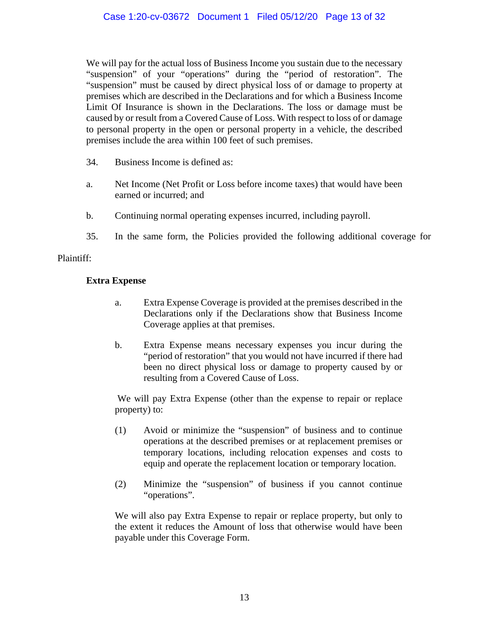We will pay for the actual loss of Business Income you sustain due to the necessary "suspension" of your "operations" during the "period of restoration". The "suspension" must be caused by direct physical loss of or damage to property at premises which are described in the Declarations and for which a Business Income Limit Of Insurance is shown in the Declarations. The loss or damage must be caused by or result from a Covered Cause of Loss. With respect to loss of or damage to personal property in the open or personal property in a vehicle, the described premises include the area within 100 feet of such premises.

- 34. Business Income is defined as:
- a. Net Income (Net Profit or Loss before income taxes) that would have been earned or incurred; and
- b. Continuing normal operating expenses incurred, including payroll.
- 35. In the same form, the Policies provided the following additional coverage for

## Plaintiff:

## **Extra Expense**

- a. Extra Expense Coverage is provided at the premises described in the Declarations only if the Declarations show that Business Income Coverage applies at that premises.
- b. Extra Expense means necessary expenses you incur during the "period of restoration" that you would not have incurred if there had been no direct physical loss or damage to property caused by or resulting from a Covered Cause of Loss.

We will pay Extra Expense (other than the expense to repair or replace property) to:

- (1) Avoid or minimize the "suspension" of business and to continue operations at the described premises or at replacement premises or temporary locations, including relocation expenses and costs to equip and operate the replacement location or temporary location.
- (2) Minimize the "suspension" of business if you cannot continue "operations".

We will also pay Extra Expense to repair or replace property, but only to the extent it reduces the Amount of loss that otherwise would have been payable under this Coverage Form.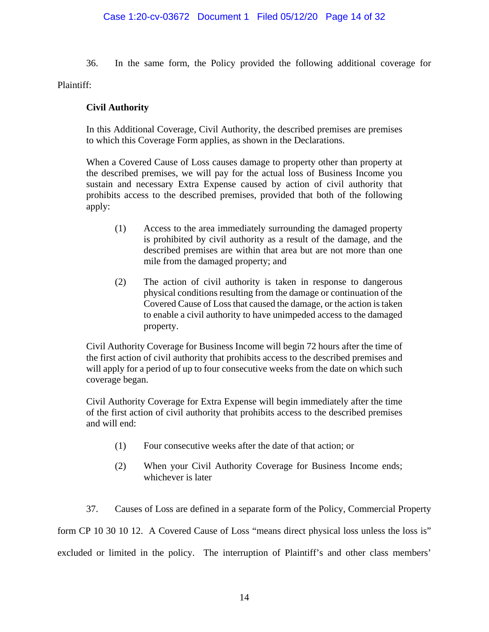36. In the same form, the Policy provided the following additional coverage for

Plaintiff:

## **Civil Authority**

In this Additional Coverage, Civil Authority, the described premises are premises to which this Coverage Form applies, as shown in the Declarations.

When a Covered Cause of Loss causes damage to property other than property at the described premises, we will pay for the actual loss of Business Income you sustain and necessary Extra Expense caused by action of civil authority that prohibits access to the described premises, provided that both of the following apply:

- (1) Access to the area immediately surrounding the damaged property is prohibited by civil authority as a result of the damage, and the described premises are within that area but are not more than one mile from the damaged property; and
- (2) The action of civil authority is taken in response to dangerous physical conditions resulting from the damage or continuation of the Covered Cause of Loss that caused the damage, or the action is taken to enable a civil authority to have unimpeded access to the damaged property.

Civil Authority Coverage for Business Income will begin 72 hours after the time of the first action of civil authority that prohibits access to the described premises and will apply for a period of up to four consecutive weeks from the date on which such coverage began.

Civil Authority Coverage for Extra Expense will begin immediately after the time of the first action of civil authority that prohibits access to the described premises and will end:

- (1) Four consecutive weeks after the date of that action; or
- (2) When your Civil Authority Coverage for Business Income ends; whichever is later

37. Causes of Loss are defined in a separate form of the Policy, Commercial Property

form CP 10 30 10 12. A Covered Cause of Loss "means direct physical loss unless the loss is"

excluded or limited in the policy. The interruption of Plaintiff's and other class members'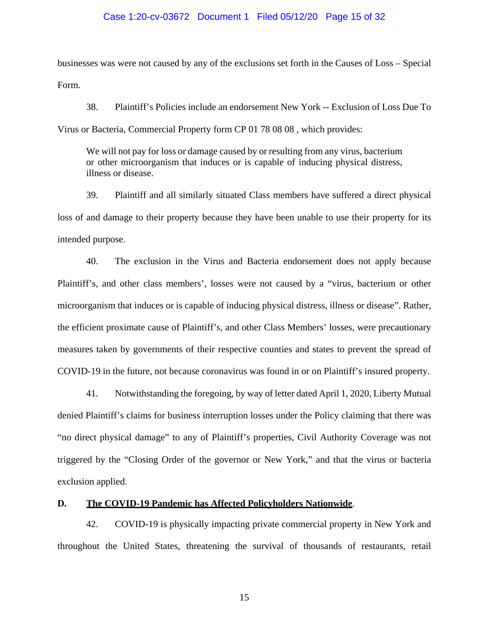#### Case 1:20-cv-03672 Document 1 Filed 05/12/20 Page 15 of 32

businesses was were not caused by any of the exclusions set forth in the Causes of Loss – Special Form.

38. Plaintiff's Policies include an endorsement New York -- Exclusion of Loss Due To Virus or Bacteria, Commercial Property form CP 01 78 08 08 , which provides:

We will not pay for loss or damage caused by or resulting from any virus, bacterium or other microorganism that induces or is capable of inducing physical distress, illness or disease.

39. Plaintiff and all similarly situated Class members have suffered a direct physical loss of and damage to their property because they have been unable to use their property for its intended purpose.

40. The exclusion in the Virus and Bacteria endorsement does not apply because Plaintiff's, and other class members', losses were not caused by a "virus, bacterium or other microorganism that induces or is capable of inducing physical distress, illness or disease". Rather, the efficient proximate cause of Plaintiff's, and other Class Members' losses, were precautionary measures taken by governments of their respective counties and states to prevent the spread of COVID-19 in the future, not because coronavirus was found in or on Plaintiff's insured property.

41. Notwithstanding the foregoing, by way of letter dated April 1, 2020, Liberty Mutual denied Plaintiff's claims for business interruption losses under the Policy claiming that there was "no direct physical damage" to any of Plaintiff's properties, Civil Authority Coverage was not triggered by the "Closing Order of the governor or New York," and that the virus or bacteria exclusion applied.

#### **D. The COVID-19 Pandemic has Affected Policyholders Nationwide**.

42. COVID-19 is physically impacting private commercial property in New York and throughout the United States, threatening the survival of thousands of restaurants, retail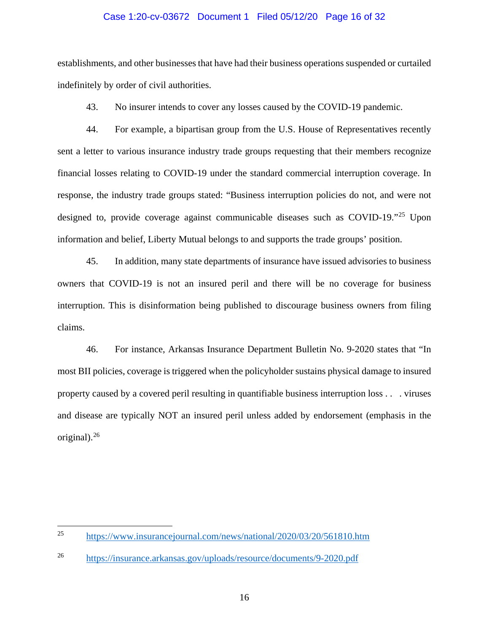#### Case 1:20-cv-03672 Document 1 Filed 05/12/20 Page 16 of 32

establishments, and other businesses that have had their business operations suspended or curtailed indefinitely by order of civil authorities.

43. No insurer intends to cover any losses caused by the COVID-19 pandemic.

44. For example, a bipartisan group from the U.S. House of Representatives recently sent a letter to various insurance industry trade groups requesting that their members recognize financial losses relating to COVID-19 under the standard commercial interruption coverage. In response, the industry trade groups stated: "Business interruption policies do not, and were not designed to, provide coverage against communicable diseases such as COVID-19."[25](#page-15-0) Upon information and belief, Liberty Mutual belongs to and supports the trade groups' position.

45. In addition, many state departments of insurance have issued advisories to business owners that COVID-19 is not an insured peril and there will be no coverage for business interruption. This is disinformation being published to discourage business owners from filing claims.

46. For instance, Arkansas Insurance Department Bulletin No. 9-2020 states that "In most BII policies, coverage is triggered when the policyholder sustains physical damage to insured property caused by a covered peril resulting in quantifiable business interruption loss . . . viruses and disease are typically NOT an insured peril unless added by endorsement (emphasis in the original). $^{26}$  $^{26}$  $^{26}$ 

<span id="page-15-0"></span> <sup>25</sup> [https://www.insurancejournal.com/news/national/2020/03/20/561810.htm](about:blank)

<span id="page-15-1"></span><sup>26</sup> [https://insurance.arkansas.gov/uploads/resource/documents/9-2020.pdf](about:blank)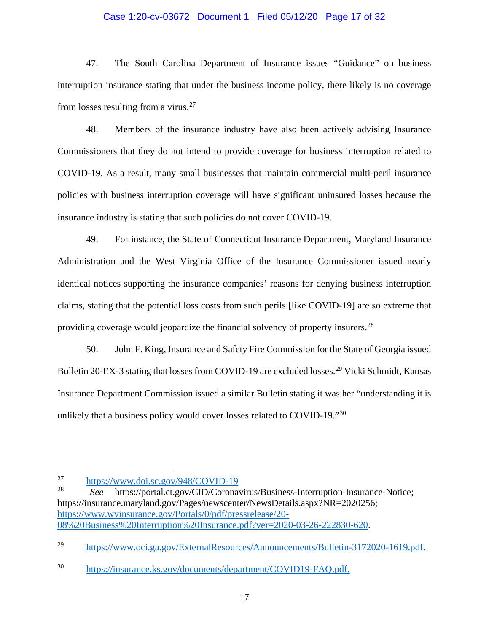### Case 1:20-cv-03672 Document 1 Filed 05/12/20 Page 17 of 32

47. The South Carolina Department of Insurance issues "Guidance" on business interruption insurance stating that under the business income policy, there likely is no coverage from losses resulting from a virus.<sup>[27](#page-16-0)</sup>

48. Members of the insurance industry have also been actively advising Insurance Commissioners that they do not intend to provide coverage for business interruption related to COVID-19. As a result, many small businesses that maintain commercial multi-peril insurance policies with business interruption coverage will have significant uninsured losses because the insurance industry is stating that such policies do not cover COVID-19.

49. For instance, the State of Connecticut Insurance Department, Maryland Insurance Administration and the West Virginia Office of the Insurance Commissioner issued nearly identical notices supporting the insurance companies' reasons for denying business interruption claims, stating that the potential loss costs from such perils [like COVID-19] are so extreme that providing coverage would jeopardize the financial solvency of property insurers.<sup>[28](#page-16-1)</sup>

50. John F. King, Insurance and Safety Fire Commission for the State of Georgia issued Bulletin 20-EX-3 stating that losses from COVID-19 are excluded losses.<sup>[29](#page-16-2)</sup> Vicki Schmidt, Kansas Insurance Department Commission issued a similar Bulletin stating it was her "understanding it is unlikely that a business policy would cover losses related to COVID-19."<sup>[30](#page-16-3)</sup>

<span id="page-16-0"></span> <sup>27</sup> [https://www.doi.sc.gov/948/COVID-19](about:blank)

<span id="page-16-1"></span><sup>28</sup> *See* https://portal.ct.gov/CID/Coronavirus/Business-Interruption-Insurance-Notice; https://insurance.maryland.gov/Pages/newscenter/NewsDetails.aspx?NR=2020256; [https://www.wvinsurance.gov/Portals/0/pdf/pressrelease/20-](about:blank) [08%20Business%20Interruption%20Insurance.pdf?ver=2020-03-26-222830-620.](about:blank)

<span id="page-16-2"></span><sup>29</sup> [https://www.oci.ga.gov/ExternalResources/Announcements/Bulletin-3172020-1619.pdf.](about:blank)

<span id="page-16-3"></span><sup>30</sup> [https://insurance.ks.gov/documents/department/COVID19-FAQ.pdf.](about:blank)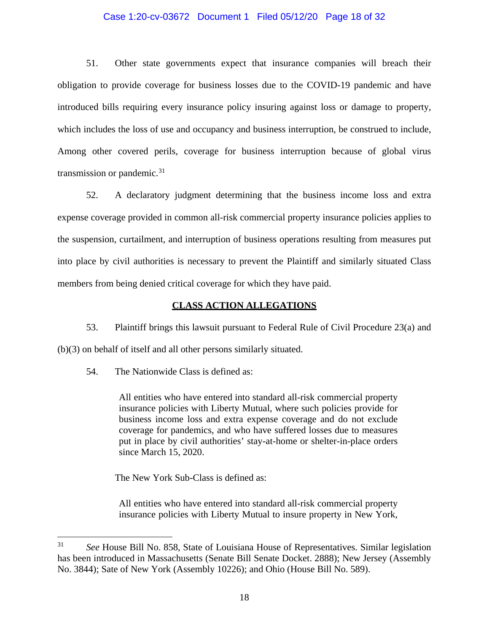### Case 1:20-cv-03672 Document 1 Filed 05/12/20 Page 18 of 32

51. Other state governments expect that insurance companies will breach their obligation to provide coverage for business losses due to the COVID-19 pandemic and have introduced bills requiring every insurance policy insuring against loss or damage to property, which includes the loss of use and occupancy and business interruption, be construed to include, Among other covered perils, coverage for business interruption because of global virus transmission or pandemic. $31$ 

52. A declaratory judgment determining that the business income loss and extra expense coverage provided in common all-risk commercial property insurance policies applies to the suspension, curtailment, and interruption of business operations resulting from measures put into place by civil authorities is necessary to prevent the Plaintiff and similarly situated Class members from being denied critical coverage for which they have paid.

## **CLASS ACTION ALLEGATIONS**

53. Plaintiff brings this lawsuit pursuant to Federal Rule of Civil Procedure 23(a) and (b)(3) on behalf of itself and all other persons similarly situated.

54. The Nationwide Class is defined as:

All entities who have entered into standard all-risk commercial property insurance policies with Liberty Mutual, where such policies provide for business income loss and extra expense coverage and do not exclude coverage for pandemics, and who have suffered losses due to measures put in place by civil authorities' stay-at-home or shelter-in-place orders since March 15, 2020.

The New York Sub-Class is defined as:

All entities who have entered into standard all-risk commercial property insurance policies with Liberty Mutual to insure property in New York,

<span id="page-17-0"></span> <sup>31</sup> *See* House Bill No. 858, State of Louisiana House of Representatives. Similar legislation has been introduced in Massachusetts (Senate Bill Senate Docket. 2888); New Jersey (Assembly No. 3844); Sate of New York (Assembly 10226); and Ohio (House Bill No. 589).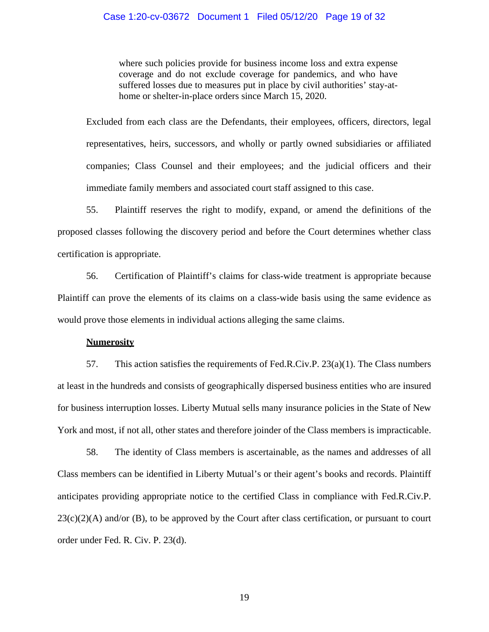#### Case 1:20-cv-03672 Document 1 Filed 05/12/20 Page 19 of 32

where such policies provide for business income loss and extra expense coverage and do not exclude coverage for pandemics, and who have suffered losses due to measures put in place by civil authorities' stay-athome or shelter-in-place orders since March 15, 2020.

Excluded from each class are the Defendants, their employees, officers, directors, legal representatives, heirs, successors, and wholly or partly owned subsidiaries or affiliated companies; Class Counsel and their employees; and the judicial officers and their immediate family members and associated court staff assigned to this case.

55. Plaintiff reserves the right to modify, expand, or amend the definitions of the proposed classes following the discovery period and before the Court determines whether class certification is appropriate.

56. Certification of Plaintiff's claims for class-wide treatment is appropriate because Plaintiff can prove the elements of its claims on a class-wide basis using the same evidence as would prove those elements in individual actions alleging the same claims.

## **Numerosity**

57. This action satisfies the requirements of Fed.R.Civ.P. 23(a)(1). The Class numbers at least in the hundreds and consists of geographically dispersed business entities who are insured for business interruption losses. Liberty Mutual sells many insurance policies in the State of New York and most, if not all, other states and therefore joinder of the Class members is impracticable.

58. The identity of Class members is ascertainable, as the names and addresses of all Class members can be identified in Liberty Mutual's or their agent's books and records. Plaintiff anticipates providing appropriate notice to the certified Class in compliance with Fed.R.Civ.P.  $23(c)(2)(A)$  and/or (B), to be approved by the Court after class certification, or pursuant to court order under Fed. R. Civ. P. 23(d).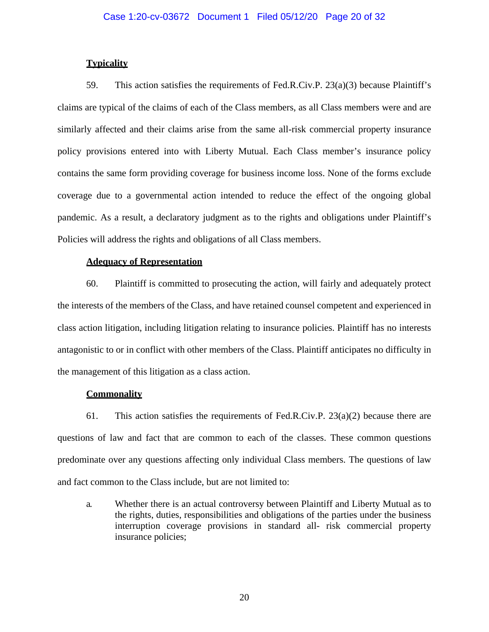## **Typicality**

59. This action satisfies the requirements of Fed.R.Civ.P.  $23(a)(3)$  because Plaintiff's claims are typical of the claims of each of the Class members, as all Class members were and are similarly affected and their claims arise from the same all-risk commercial property insurance policy provisions entered into with Liberty Mutual. Each Class member's insurance policy contains the same form providing coverage for business income loss. None of the forms exclude coverage due to a governmental action intended to reduce the effect of the ongoing global pandemic. As a result, a declaratory judgment as to the rights and obligations under Plaintiff's Policies will address the rights and obligations of all Class members.

## **Adequacy of Representation**

60. Plaintiff is committed to prosecuting the action, will fairly and adequately protect the interests of the members of the Class, and have retained counsel competent and experienced in class action litigation, including litigation relating to insurance policies. Plaintiff has no interests antagonistic to or in conflict with other members of the Class. Plaintiff anticipates no difficulty in the management of this litigation as a class action.

### **Commonality**

61. This action satisfies the requirements of Fed.R.Civ.P.  $23(a)(2)$  because there are questions of law and fact that are common to each of the classes. These common questions predominate over any questions affecting only individual Class members. The questions of law and fact common to the Class include, but are not limited to:

a. Whether there is an actual controversy between Plaintiff and Liberty Mutual as to the rights, duties, responsibilities and obligations of the parties under the business interruption coverage provisions in standard all- risk commercial property insurance policies;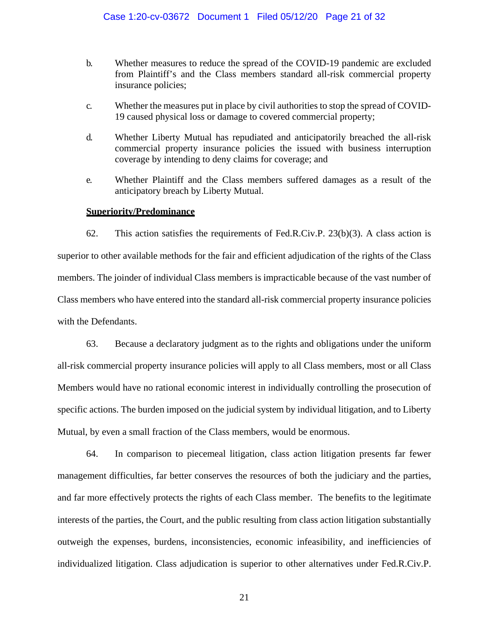- b. Whether measures to reduce the spread of the COVID-19 pandemic are excluded from Plaintiff's and the Class members standard all-risk commercial property insurance policies;
- c. Whether the measures put in place by civil authorities to stop the spread of COVID-19 caused physical loss or damage to covered commercial property;
- d. Whether Liberty Mutual has repudiated and anticipatorily breached the all-risk commercial property insurance policies the issued with business interruption coverage by intending to deny claims for coverage; and
- e. Whether Plaintiff and the Class members suffered damages as a result of the anticipatory breach by Liberty Mutual.

## **Superiority/Predominance**

62. This action satisfies the requirements of Fed.R.Civ.P.  $23(b)(3)$ . A class action is superior to other available methods for the fair and efficient adjudication of the rights of the Class members. The joinder of individual Class members is impracticable because of the vast number of Class members who have entered into the standard all-risk commercial property insurance policies with the Defendants.

63. Because a declaratory judgment as to the rights and obligations under the uniform all-risk commercial property insurance policies will apply to all Class members, most or all Class Members would have no rational economic interest in individually controlling the prosecution of specific actions. The burden imposed on the judicial system by individual litigation, and to Liberty Mutual, by even a small fraction of the Class members, would be enormous.

64. In comparison to piecemeal litigation, class action litigation presents far fewer management difficulties, far better conserves the resources of both the judiciary and the parties, and far more effectively protects the rights of each Class member. The benefits to the legitimate interests of the parties, the Court, and the public resulting from class action litigation substantially outweigh the expenses, burdens, inconsistencies, economic infeasibility, and inefficiencies of individualized litigation. Class adjudication is superior to other alternatives under Fed.R.Civ.P.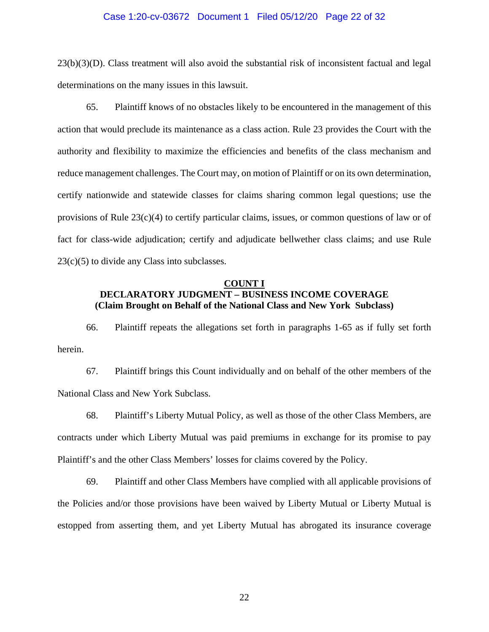#### Case 1:20-cv-03672 Document 1 Filed 05/12/20 Page 22 of 32

23(b)(3)(D). Class treatment will also avoid the substantial risk of inconsistent factual and legal determinations on the many issues in this lawsuit.

65. Plaintiff knows of no obstacles likely to be encountered in the management of this action that would preclude its maintenance as a class action. Rule 23 provides the Court with the authority and flexibility to maximize the efficiencies and benefits of the class mechanism and reduce management challenges. The Court may, on motion of Plaintiff or on its own determination, certify nationwide and statewide classes for claims sharing common legal questions; use the provisions of Rule 23(c)(4) to certify particular claims, issues, or common questions of law or of fact for class-wide adjudication; certify and adjudicate bellwether class claims; and use Rule 23(c)(5) to divide any Class into subclasses.

#### **COUNT I**

# **DECLARATORY JUDGMENT – BUSINESS INCOME COVERAGE (Claim Brought on Behalf of the National Class and New York Subclass)**

66. Plaintiff repeats the allegations set forth in paragraphs 1-65 as if fully set forth herein.

67. Plaintiff brings this Count individually and on behalf of the other members of the National Class and New York Subclass.

68. Plaintiff's Liberty Mutual Policy, as well as those of the other Class Members, are contracts under which Liberty Mutual was paid premiums in exchange for its promise to pay Plaintiff's and the other Class Members' losses for claims covered by the Policy.

69. Plaintiff and other Class Members have complied with all applicable provisions of the Policies and/or those provisions have been waived by Liberty Mutual or Liberty Mutual is estopped from asserting them, and yet Liberty Mutual has abrogated its insurance coverage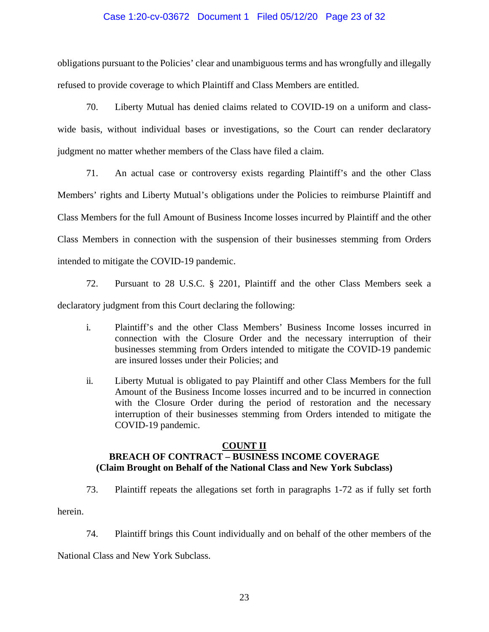## Case 1:20-cv-03672 Document 1 Filed 05/12/20 Page 23 of 32

obligations pursuant to the Policies' clear and unambiguous terms and has wrongfully and illegally refused to provide coverage to which Plaintiff and Class Members are entitled.

70. Liberty Mutual has denied claims related to COVID-19 on a uniform and classwide basis, without individual bases or investigations, so the Court can render declaratory judgment no matter whether members of the Class have filed a claim.

71. An actual case or controversy exists regarding Plaintiff's and the other Class Members' rights and Liberty Mutual's obligations under the Policies to reimburse Plaintiff and Class Members for the full Amount of Business Income losses incurred by Plaintiff and the other Class Members in connection with the suspension of their businesses stemming from Orders intended to mitigate the COVID-19 pandemic.

72. Pursuant to 28 U.S.C. § 2201, Plaintiff and the other Class Members seek a

declaratory judgment from this Court declaring the following:

- i. Plaintiff's and the other Class Members' Business Income losses incurred in connection with the Closure Order and the necessary interruption of their businesses stemming from Orders intended to mitigate the COVID-19 pandemic are insured losses under their Policies; and
- ii. Liberty Mutual is obligated to pay Plaintiff and other Class Members for the full Amount of the Business Income losses incurred and to be incurred in connection with the Closure Order during the period of restoration and the necessary interruption of their businesses stemming from Orders intended to mitigate the COVID-19 pandemic.

## **COUNT II BREACH OF CONTRACT – BUSINESS INCOME COVERAGE (Claim Brought on Behalf of the National Class and New York Subclass)**

73. Plaintiff repeats the allegations set forth in paragraphs 1-72 as if fully set forth

herein.

74. Plaintiff brings this Count individually and on behalf of the other members of the

National Class and New York Subclass.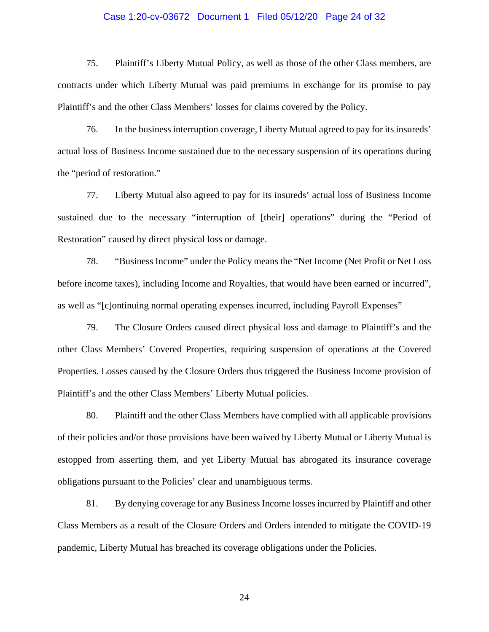#### Case 1:20-cv-03672 Document 1 Filed 05/12/20 Page 24 of 32

75. Plaintiff's Liberty Mutual Policy, as well as those of the other Class members, are contracts under which Liberty Mutual was paid premiums in exchange for its promise to pay Plaintiff's and the other Class Members' losses for claims covered by the Policy.

76. In the business interruption coverage, Liberty Mutual agreed to pay for its insureds' actual loss of Business Income sustained due to the necessary suspension of its operations during the "period of restoration."

77. Liberty Mutual also agreed to pay for its insureds' actual loss of Business Income sustained due to the necessary "interruption of [their] operations" during the "Period of Restoration" caused by direct physical loss or damage.

78. "Business Income" under the Policy means the "Net Income (Net Profit or Net Loss before income taxes), including Income and Royalties, that would have been earned or incurred", as well as "[c]ontinuing normal operating expenses incurred, including Payroll Expenses"

79. The Closure Orders caused direct physical loss and damage to Plaintiff's and the other Class Members' Covered Properties, requiring suspension of operations at the Covered Properties. Losses caused by the Closure Orders thus triggered the Business Income provision of Plaintiff's and the other Class Members' Liberty Mutual policies.

80. Plaintiff and the other Class Members have complied with all applicable provisions of their policies and/or those provisions have been waived by Liberty Mutual or Liberty Mutual is estopped from asserting them, and yet Liberty Mutual has abrogated its insurance coverage obligations pursuant to the Policies' clear and unambiguous terms.

81. By denying coverage for any Business Income losses incurred by Plaintiff and other Class Members as a result of the Closure Orders and Orders intended to mitigate the COVID-19 pandemic, Liberty Mutual has breached its coverage obligations under the Policies.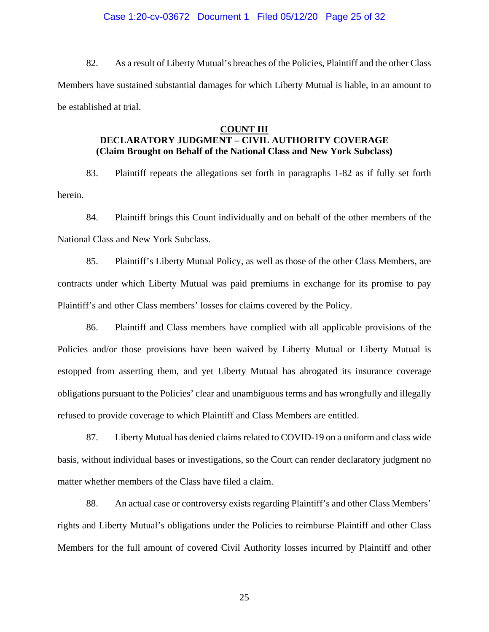82. As a result of Liberty Mutual's breaches of the Policies, Plaintiff and the other Class Members have sustained substantial damages for which Liberty Mutual is liable, in an amount to be established at trial.

#### **COUNT III**

# **DECLARATORY JUDGMENT – CIVIL AUTHORITY COVERAGE (Claim Brought on Behalf of the National Class and New York Subclass)**

83. Plaintiff repeats the allegations set forth in paragraphs 1-82 as if fully set forth herein.

84. Plaintiff brings this Count individually and on behalf of the other members of the National Class and New York Subclass.

85. Plaintiff's Liberty Mutual Policy, as well as those of the other Class Members, are contracts under which Liberty Mutual was paid premiums in exchange for its promise to pay Plaintiff's and other Class members' losses for claims covered by the Policy.

86. Plaintiff and Class members have complied with all applicable provisions of the Policies and/or those provisions have been waived by Liberty Mutual or Liberty Mutual is estopped from asserting them, and yet Liberty Mutual has abrogated its insurance coverage obligations pursuant to the Policies' clear and unambiguous terms and has wrongfully and illegally refused to provide coverage to which Plaintiff and Class Members are entitled.

87. Liberty Mutual has denied claims related to COVID-19 on a uniform and class wide basis, without individual bases or investigations, so the Court can render declaratory judgment no matter whether members of the Class have filed a claim.

88. An actual case or controversy exists regarding Plaintiff's and other Class Members' rights and Liberty Mutual's obligations under the Policies to reimburse Plaintiff and other Class Members for the full amount of covered Civil Authority losses incurred by Plaintiff and other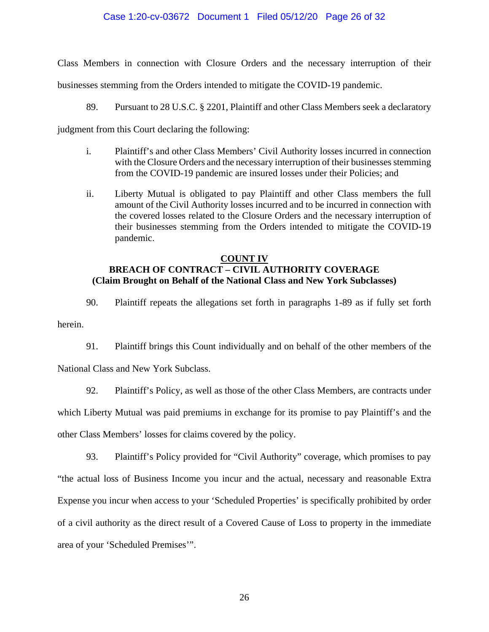## Case 1:20-cv-03672 Document 1 Filed 05/12/20 Page 26 of 32

Class Members in connection with Closure Orders and the necessary interruption of their

businesses stemming from the Orders intended to mitigate the COVID-19 pandemic.

89. Pursuant to 28 U.S.C. § 2201, Plaintiff and other Class Members seek a declaratory

judgment from this Court declaring the following:

- i. Plaintiff's and other Class Members' Civil Authority losses incurred in connection with the Closure Orders and the necessary interruption of their businesses stemming from the COVID-19 pandemic are insured losses under their Policies; and
- ii. Liberty Mutual is obligated to pay Plaintiff and other Class members the full amount of the Civil Authority losses incurred and to be incurred in connection with the covered losses related to the Closure Orders and the necessary interruption of their businesses stemming from the Orders intended to mitigate the COVID-19 pandemic.

### **COUNT IV**

# **BREACH OF CONTRACT – CIVIL AUTHORITY COVERAGE (Claim Brought on Behalf of the National Class and New York Subclasses)**

90. Plaintiff repeats the allegations set forth in paragraphs 1-89 as if fully set forth herein.

91. Plaintiff brings this Count individually and on behalf of the other members of the

National Class and New York Subclass.

92. Plaintiff's Policy, as well as those of the other Class Members, are contracts under which Liberty Mutual was paid premiums in exchange for its promise to pay Plaintiff's and the other Class Members' losses for claims covered by the policy.

93. Plaintiff's Policy provided for "Civil Authority" coverage, which promises to pay "the actual loss of Business Income you incur and the actual, necessary and reasonable Extra Expense you incur when access to your 'Scheduled Properties' is specifically prohibited by order of a civil authority as the direct result of a Covered Cause of Loss to property in the immediate area of your 'Scheduled Premises'".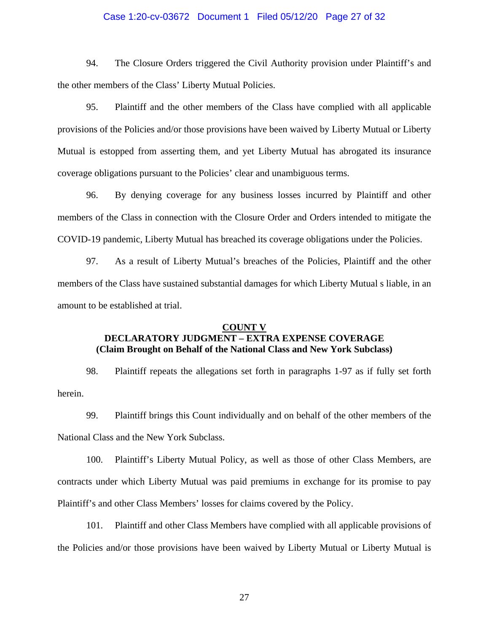#### Case 1:20-cv-03672 Document 1 Filed 05/12/20 Page 27 of 32

94. The Closure Orders triggered the Civil Authority provision under Plaintiff's and the other members of the Class' Liberty Mutual Policies.

95. Plaintiff and the other members of the Class have complied with all applicable provisions of the Policies and/or those provisions have been waived by Liberty Mutual or Liberty Mutual is estopped from asserting them, and yet Liberty Mutual has abrogated its insurance coverage obligations pursuant to the Policies' clear and unambiguous terms.

96. By denying coverage for any business losses incurred by Plaintiff and other members of the Class in connection with the Closure Order and Orders intended to mitigate the COVID-19 pandemic, Liberty Mutual has breached its coverage obligations under the Policies.

97. As a result of Liberty Mutual's breaches of the Policies, Plaintiff and the other members of the Class have sustained substantial damages for which Liberty Mutual s liable, in an amount to be established at trial.

## **COUNT V DECLARATORY JUDGMENT – EXTRA EXPENSE COVERAGE (Claim Brought on Behalf of the National Class and New York Subclass)**

98. Plaintiff repeats the allegations set forth in paragraphs 1-97 as if fully set forth herein.

99. Plaintiff brings this Count individually and on behalf of the other members of the National Class and the New York Subclass.

100. Plaintiff's Liberty Mutual Policy, as well as those of other Class Members, are contracts under which Liberty Mutual was paid premiums in exchange for its promise to pay Plaintiff's and other Class Members' losses for claims covered by the Policy.

101. Plaintiff and other Class Members have complied with all applicable provisions of the Policies and/or those provisions have been waived by Liberty Mutual or Liberty Mutual is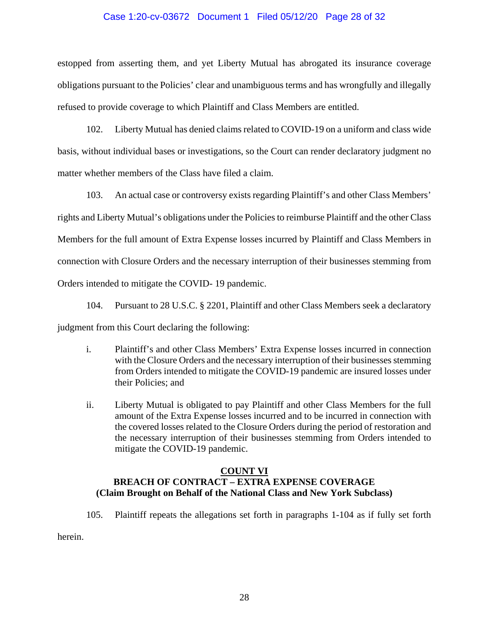### Case 1:20-cv-03672 Document 1 Filed 05/12/20 Page 28 of 32

estopped from asserting them, and yet Liberty Mutual has abrogated its insurance coverage obligations pursuant to the Policies' clear and unambiguous terms and has wrongfully and illegally refused to provide coverage to which Plaintiff and Class Members are entitled.

102. Liberty Mutual has denied claims related to COVID-19 on a uniform and class wide basis, without individual bases or investigations, so the Court can render declaratory judgment no matter whether members of the Class have filed a claim.

103. An actual case or controversy exists regarding Plaintiff's and other Class Members' rights and Liberty Mutual's obligations under the Policies to reimburse Plaintiff and the other Class Members for the full amount of Extra Expense losses incurred by Plaintiff and Class Members in connection with Closure Orders and the necessary interruption of their businesses stemming from Orders intended to mitigate the COVID- 19 pandemic.

104. Pursuant to 28 U.S.C. § 2201, Plaintiff and other Class Members seek a declaratory judgment from this Court declaring the following:

- i. Plaintiff's and other Class Members' Extra Expense losses incurred in connection with the Closure Orders and the necessary interruption of their businesses stemming from Orders intended to mitigate the COVID-19 pandemic are insured losses under their Policies; and
- ii. Liberty Mutual is obligated to pay Plaintiff and other Class Members for the full amount of the Extra Expense losses incurred and to be incurred in connection with the covered losses related to the Closure Orders during the period of restoration and the necessary interruption of their businesses stemming from Orders intended to mitigate the COVID-19 pandemic.

## **COUNT VI BREACH OF CONTRACT – EXTRA EXPENSE COVERAGE (Claim Brought on Behalf of the National Class and New York Subclass)**

105. Plaintiff repeats the allegations set forth in paragraphs 1-104 as if fully set forth

herein.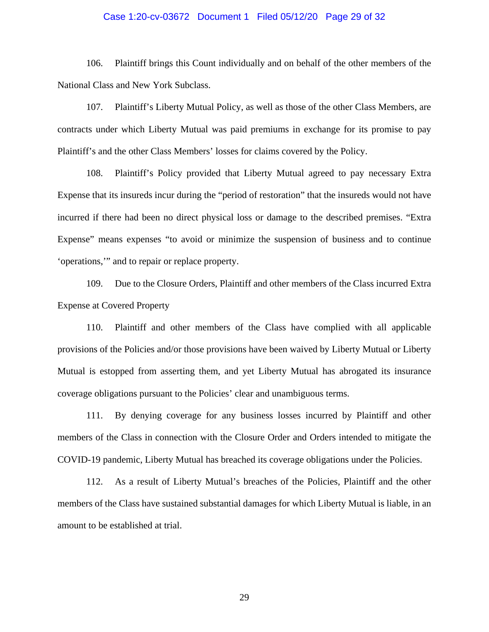#### Case 1:20-cv-03672 Document 1 Filed 05/12/20 Page 29 of 32

106. Plaintiff brings this Count individually and on behalf of the other members of the National Class and New York Subclass.

107. Plaintiff's Liberty Mutual Policy, as well as those of the other Class Members, are contracts under which Liberty Mutual was paid premiums in exchange for its promise to pay Plaintiff's and the other Class Members' losses for claims covered by the Policy.

108. Plaintiff's Policy provided that Liberty Mutual agreed to pay necessary Extra Expense that its insureds incur during the "period of restoration" that the insureds would not have incurred if there had been no direct physical loss or damage to the described premises. "Extra Expense" means expenses "to avoid or minimize the suspension of business and to continue 'operations,'" and to repair or replace property.

109. Due to the Closure Orders, Plaintiff and other members of the Class incurred Extra Expense at Covered Property

110. Plaintiff and other members of the Class have complied with all applicable provisions of the Policies and/or those provisions have been waived by Liberty Mutual or Liberty Mutual is estopped from asserting them, and yet Liberty Mutual has abrogated its insurance coverage obligations pursuant to the Policies' clear and unambiguous terms.

111. By denying coverage for any business losses incurred by Plaintiff and other members of the Class in connection with the Closure Order and Orders intended to mitigate the COVID-19 pandemic, Liberty Mutual has breached its coverage obligations under the Policies.

112. As a result of Liberty Mutual's breaches of the Policies, Plaintiff and the other members of the Class have sustained substantial damages for which Liberty Mutual is liable, in an amount to be established at trial.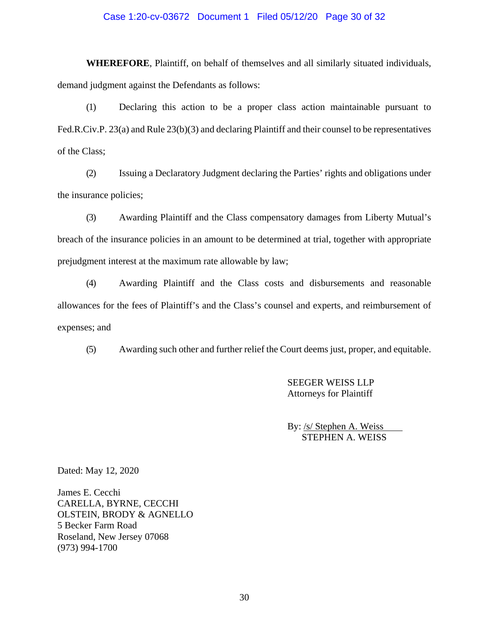#### Case 1:20-cv-03672 Document 1 Filed 05/12/20 Page 30 of 32

**WHEREFORE**, Plaintiff, on behalf of themselves and all similarly situated individuals, demand judgment against the Defendants as follows:

(1) Declaring this action to be a proper class action maintainable pursuant to Fed.R.Civ.P. 23(a) and Rule 23(b)(3) and declaring Plaintiff and their counsel to be representatives of the Class;

(2) Issuing a Declaratory Judgment declaring the Parties' rights and obligations under the insurance policies;

(3) Awarding Plaintiff and the Class compensatory damages from Liberty Mutual's breach of the insurance policies in an amount to be determined at trial, together with appropriate prejudgment interest at the maximum rate allowable by law;

(4) Awarding Plaintiff and the Class costs and disbursements and reasonable allowances for the fees of Plaintiff's and the Class's counsel and experts, and reimbursement of expenses; and

(5) Awarding such other and further relief the Court deems just, proper, and equitable.

SEEGER WEISS LLP Attorneys for Plaintiff

By: /s/ Stephen A. Weiss STEPHEN A. WEISS

Dated: May 12, 2020

James E. Cecchi CARELLA, BYRNE, CECCHI OLSTEIN, BRODY & AGNELLO 5 Becker Farm Road Roseland, New Jersey 07068 (973) 994-1700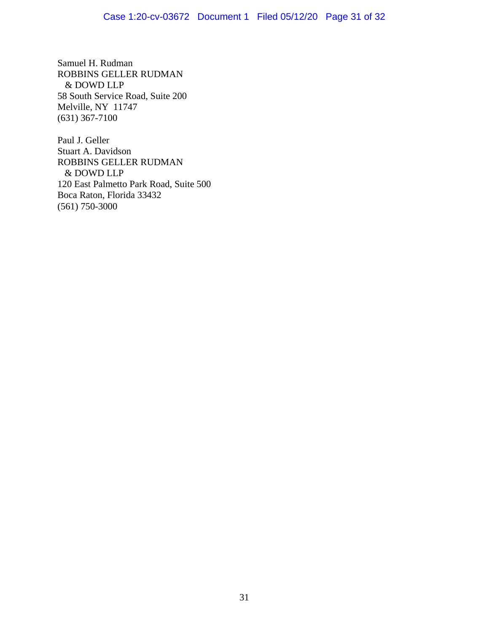## Case 1:20-cv-03672 Document 1 Filed 05/12/20 Page 31 of 32

Samuel H. Rudman ROBBINS GELLER RUDMAN & DOWD LLP 58 South Service Road, Suite 200 Melville, NY 11747 (631) 367-7100

Paul J. Geller Stuart A. Davidson ROBBINS GELLER RUDMAN & DOWD LLP 120 East Palmetto Park Road, Suite 500 Boca Raton, Florida 33432 (561) 750-3000